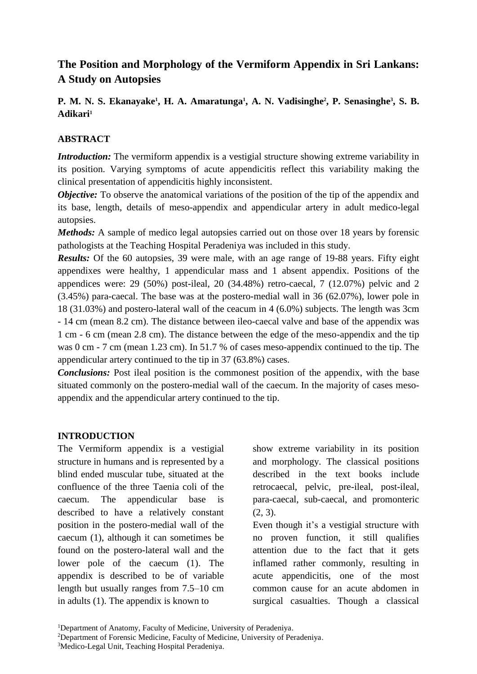# **The Position and Morphology of the Vermiform Appendix in Sri Lankans: A Study on Autopsies**

# **P. M. N. S. Ekanayake<sup>1</sup>, H. A. Amaratunga<sup>1</sup>, A. N. Vadisinghe<sup>2</sup>, P. Senasinghe<sup>3</sup>, S. B. Adikari<sup>1</sup>**

### **ABSTRACT**

*Introduction:* The vermiform appendix is a vestigial structure showing extreme variability in its position. Varying symptoms of acute appendicitis reflect this variability making the clinical presentation of appendicitis highly inconsistent.

*Objective:* To observe the anatomical variations of the position of the tip of the appendix and its base, length, details of meso-appendix and appendicular artery in adult medico-legal autopsies.

*Methods:* A sample of medico legal autopsies carried out on those over 18 years by forensic pathologists at the Teaching Hospital Peradeniya was included in this study.

*Results:* Of the 60 autopsies, 39 were male, with an age range of 19-88 years. Fifty eight appendixes were healthy, 1 appendicular mass and 1 absent appendix. Positions of the appendices were: 29 (50%) post-ileal, 20 (34.48%) retro-caecal, 7 (12.07%) pelvic and 2 (3.45%) para-caecal. The base was at the postero-medial wall in 36 (62.07%), lower pole in 18 (31.03%) and postero-lateral wall of the ceacum in 4 (6.0%) subjects. The length was 3cm - 14 cm (mean 8.2 cm). The distance between ileo-caecal valve and base of the appendix was 1 cm - 6 cm (mean 2.8 cm). The distance between the edge of the meso-appendix and the tip was 0 cm - 7 cm (mean 1.23 cm). In 51.7 % of cases meso-appendix continued to the tip. The appendicular artery continued to the tip in 37 (63.8%) cases.

*Conclusions:* Post ileal position is the commonest position of the appendix, with the base situated commonly on the postero-medial wall of the caecum. In the majority of cases mesoappendix and the appendicular artery continued to the tip.

#### **INTRODUCTION**

The Vermiform appendix is a vestigial structure in humans and is represented by a blind ended muscular tube, situated at the confluence of the three Taenia coli of the caecum. The appendicular base is described to have a relatively constant position in the postero-medial wall of the caecum (1), although it can sometimes be found on the postero-lateral wall and the lower pole of the caecum (1). The appendix is described to be of variable length but usually ranges from 7.5–10 cm in adults (1). The appendix is known to

show extreme variability in its position and morphology. The classical positions described in the text books include retrocaecal, pelvic, pre-ileal, post-ileal, para-caecal, sub-caecal, and promonteric (2, 3).

Even though it's a vestigial structure with no proven function, it still qualifies attention due to the fact that it gets inflamed rather commonly, resulting in acute appendicitis, one of the most common cause for an acute abdomen in surgical casualties. Though a classical

<sup>&</sup>lt;sup>1</sup>Department of Anatomy, Faculty of Medicine, University of Peradeniya.

<sup>&</sup>lt;sup>2</sup>Department of Forensic Medicine, Faculty of Medicine, University of Peradeniya.

<sup>&</sup>lt;sup>3</sup>Medico-Legal Unit, Teaching Hospital Peradeniya.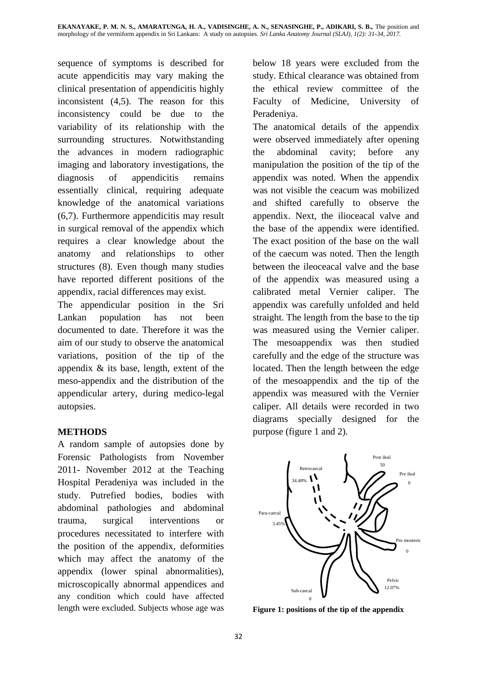sequence of symptoms is described for acute appendicitis may vary making the clinical presentation of appendicitis highly inconsistent (4,5). The reason for this inconsistency could be due to the variability of its relationship with the surrounding structures. Notwithstanding the advances in modern radiographic imaging and laboratory investigations, the diagnosis of appendicitis remains essentially clinical, requiring adequate knowledge of the anatomical variations (6,7). Furthermore appendicitis may result in surgical removal of the appendix which requires a clear knowledge about the anatomy and relationships to other structures (8). Even though many studies have reported different positions of the appendix, racial differences may exist.

The appendicular position in the Sri Lankan population has not been documented to date. Therefore it was the aim of our study to observe the anatomical variations, position of the tip of the appendix & its base, length, extent of the meso-appendix and the distribution of the appendicular artery, during medico-legal autopsies.

## **METHODS**

A random sample of autopsies done by Forensic Pathologists from November 2011- November 2012 at the Teaching Hospital Peradeniya was included in the study. Putrefied bodies, bodies with abdominal pathologies and abdominal trauma, surgical interventions or procedures necessitated to interfere with the position of the appendix, deformities which may affect the anatomy of the appendix (lower spinal abnormalities), microscopically abnormal appendices and any condition which could have affected length were excluded. Subjects whose age was below 18 years were excluded from the study. Ethical clearance was obtained from the ethical review committee of the Faculty of Medicine, University of Peradeniya.

The anatomical details of the appendix were observed immediately after opening the abdominal cavity; before any manipulation the position of the tip of the appendix was noted. When the appendix was not visible the ceacum was mobilized and shifted carefully to observe the appendix. Next, the ilioceacal valve and the base of the appendix were identified. The exact position of the base on the wall of the caecum was noted. Then the length between the ileoceacal valve and the base of the appendix was measured using a calibrated metal Vernier caliper. The appendix was carefully unfolded and held straight. The length from the base to the tip was measured using the Vernier caliper. The mesoappendix was then studied carefully and the edge of the structure was located. Then the length between the edge of the mesoappendix and the tip of the appendix was measured with the Vernier caliper. All details were recorded in two diagrams specially designed for the purpose (figure 1 and 2).



**Figure 1: positions of the tip of the appendix** %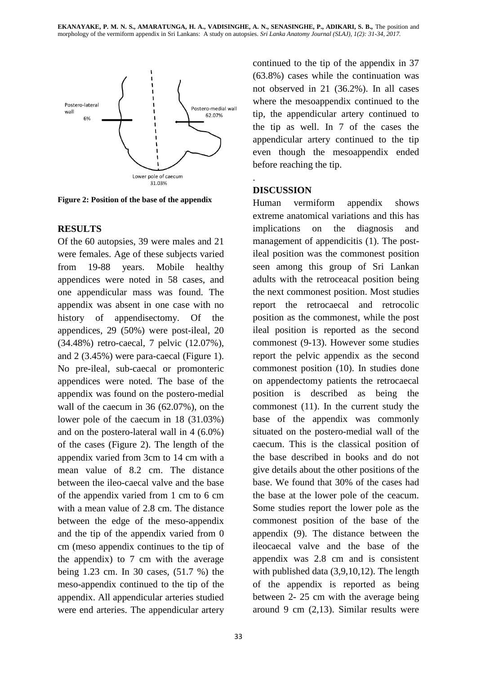

**Figure 2: Position of the base of the appendix**

## **RESULTS**

Of the 60 autopsies, 39 were males and 21 were females. Age of these subjects varied from 19-88 years. Mobile healthy appendices were noted in 58 cases, and one appendicular mass was found. The appendix was absent in one case with no history of appendisectomy. Of the appendices, 29 (50%) were post-ileal, 20 (34.48%) retro-caecal, 7 pelvic (12.07%), and 2 (3.45%) were para-caecal (Figure 1). No pre-ileal, sub-caecal or promonteric appendices were noted. The base of the appendix was found on the postero-medial wall of the caecum in 36 (62.07%), on the lower pole of the caecum in 18 (31.03%) and on the postero-lateral wall in 4 (6.0%) of the cases (Figure 2). The length of the appendix varied from 3cm to 14 cm with a mean value of 8.2 cm. The distance between the ileo-caecal valve and the base of the appendix varied from 1 cm to 6 cm with a mean value of 2.8 cm. The distance between the edge of the meso-appendix and the tip of the appendix varied from 0 cm (meso appendix continues to the tip of the appendix) to 7 cm with the average being 1.23 cm. In 30 cases, (51.7 %) the meso-appendix continued to the tip of the appendix. All appendicular arteries studied were end arteries. The appendicular artery continued to the tip of the appendix in 37 (63.8%) cases while the continuation was not observed in 21 (36.2%). In all cases where the mesoappendix continued to the tip, the appendicular artery continued to the tip as well. In 7 of the cases the appendicular artery continued to the tip even though the mesoappendix ended before reaching the tip.

## **DISCUSSION**

.

Human vermiform appendix shows extreme anatomical variations and this has implications on the diagnosis and management of appendicitis (1). The postileal position was the commonest position seen among this group of Sri Lankan adults with the retroceacal position being the next commonest position. Most studies report the retrocaecal and retrocolic position as the commonest, while the post ileal position is reported as the second commonest (9-13). However some studies report the pelvic appendix as the second commonest position (10). In studies done on appendectomy patients the retrocaecal position is described as being the commonest (11). In the current study the base of the appendix was commonly situated on the postero-medial wall of the caecum. This is the classical position of the base described in books and do not give details about the other positions of the base. We found that 30% of the cases had the base at the lower pole of the ceacum. Some studies report the lower pole as the commonest position of the base of the appendix (9). The distance between the ileocaecal valve and the base of the appendix was 2.8 cm and is consistent with published data (3,9,10,12). The length of the appendix is reported as being between 2- 25 cm with the average being around 9 cm (2,13). Similar results were